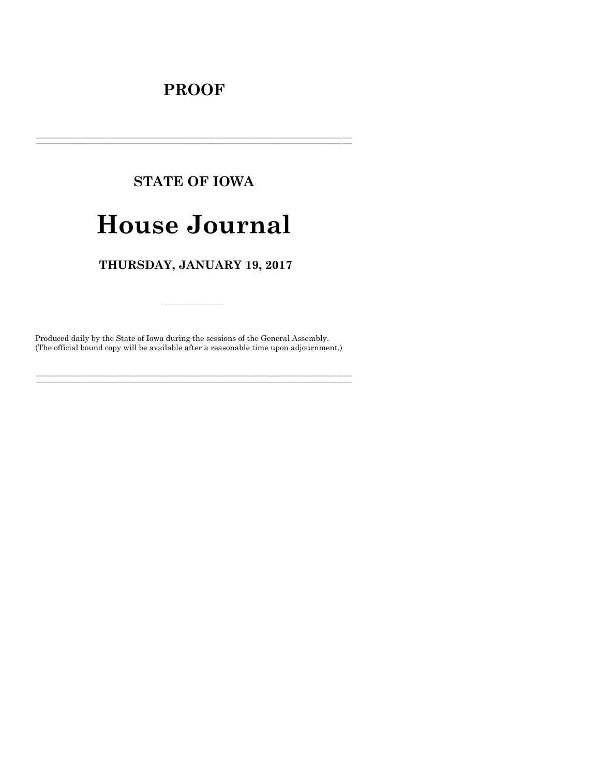# **PROOF**

# **STATE OF IOWA**

# **House Journal**

# THURSDAY, JANUARY 19, 2017

Produced daily by the State of Iowa during the sessions of the General Assembly. (The official bound copy will be available after a reasonable time upon adjournment.)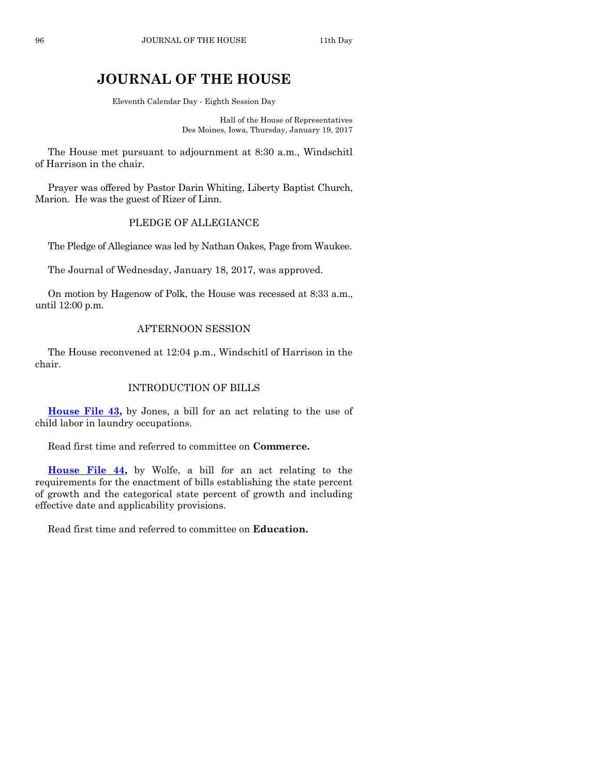# **JOURNAL OF THE HOUSE**

Eleventh Calendar Day - Eighth Session Day

Hall of the House of Representatives Des Moines, Iowa, Thursday, January 19, 2017

The House met pursuant to adjournment at 8:30 a.m., Windschitl of Harrison in the chair.

Prayer was offered by Pastor Darin Whiting, Liberty Baptist Church, Marion. He was the guest of Rizer of Linn.

# PLEDGE OF ALLEGIANCE

The Pledge of Allegiance was led by Nathan Oakes, Page from Waukee.

The Journal of Wednesday, January 18, 2017, was approved.

On motion by Hagenow of Polk, the House was recessed at 8:33 a.m., until 12:00 p.m.

## AFTERNOON SESSION

The House reconvened at 12:04 p.m., Windschitl of Harrison in the chair.

# INTRODUCTION OF BILLS

**[House File 43,](https://www.legis.iowa.gov/legislation/BillBook?ga=87&ba=HF43)** by Jones, a bill for an act relating to the use of child labor in laundry occupations.

Read first time and referred to committee on **Commerce.**

**[House File 44,](https://www.legis.iowa.gov/legislation/BillBook?ga=87&ba=HF44)** by Wolfe, a bill for an act relating to the requirements for the enactment of bills establishing the state percent of growth and the categorical state percent of growth and including effective date and applicability provisions.

Read first time and referred to committee on **Education.**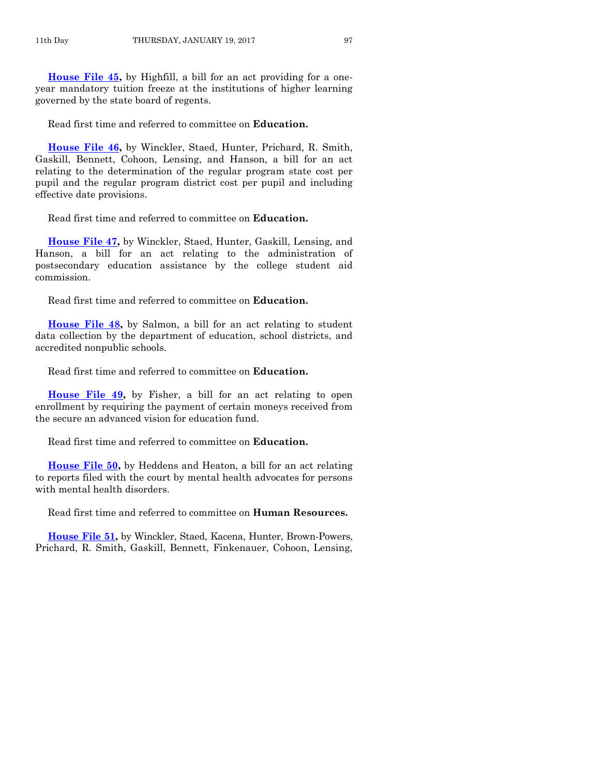**[House File 45,](https://www.legis.iowa.gov/legislation/BillBook?ga=87&ba=HF45)** by Highfill, a bill for an act providing for a oneyear mandatory tuition freeze at the institutions of higher learning governed by the state board of regents.

Read first time and referred to committee on **Education.**

**[House File 46,](https://www.legis.iowa.gov/legislation/BillBook?ga=87&ba=HF46)** by Winckler, Staed, Hunter, Prichard, R. Smith, Gaskill, Bennett, Cohoon, Lensing, and Hanson, a bill for an act relating to the determination of the regular program state cost per pupil and the regular program district cost per pupil and including effective date provisions.

Read first time and referred to committee on **Education.**

**[House File 47,](https://www.legis.iowa.gov/legislation/BillBook?ga=87&ba=HF47)** by Winckler, Staed, Hunter, Gaskill, Lensing, and Hanson, a bill for an act relating to the administration of postsecondary education assistance by the college student aid commission.

Read first time and referred to committee on **Education.**

**[House File 48,](https://www.legis.iowa.gov/legislation/BillBook?ga=87&ba=HF48)** by Salmon, a bill for an act relating to student data collection by the department of education, school districts, and accredited nonpublic schools.

Read first time and referred to committee on **Education.**

**[House File 49,](https://www.legis.iowa.gov/legislation/BillBook?ga=87&ba=HF49)** by Fisher, a bill for an act relating to open enrollment by requiring the payment of certain moneys received from the secure an advanced vision for education fund.

Read first time and referred to committee on **Education.**

**[House File 50,](https://www.legis.iowa.gov/legislation/BillBook?ga=87&ba=HF50)** by Heddens and Heaton, a bill for an act relating to reports filed with the court by mental health advocates for persons with mental health disorders.

Read first time and referred to committee on **Human Resources.**

**[House File 51,](https://www.legis.iowa.gov/legislation/BillBook?ga=87&ba=HF51)** by Winckler, Staed, Kacena, Hunter, Brown-Powers, Prichard, R. Smith, Gaskill, Bennett, Finkenauer, Cohoon, Lensing,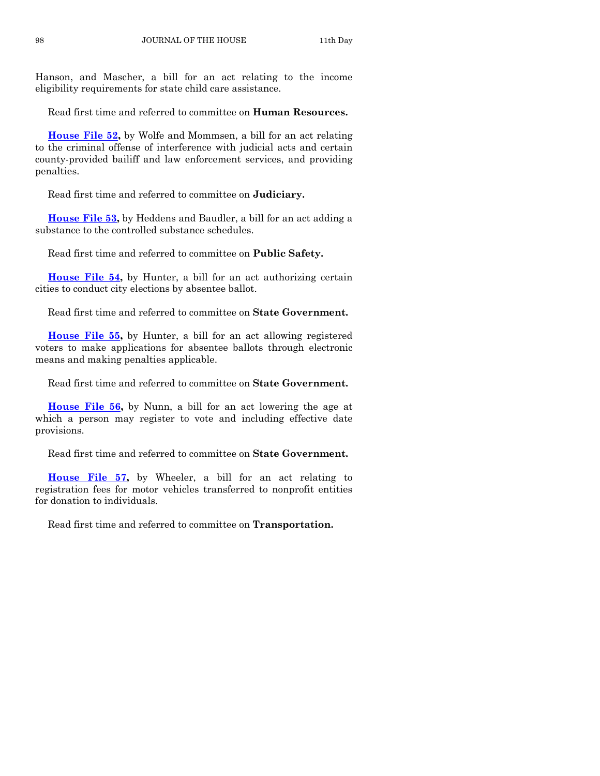Hanson, and Mascher, a bill for an act relating to the income eligibility requirements for state child care assistance.

Read first time and referred to committee on **Human Resources.**

**[House File 52,](https://www.legis.iowa.gov/legislation/BillBook?ga=87&ba=HF52)** by Wolfe and Mommsen, a bill for an act relating to the criminal offense of interference with judicial acts and certain county-provided bailiff and law enforcement services, and providing penalties.

Read first time and referred to committee on **Judiciary.**

**[House File 53,](https://www.legis.iowa.gov/legislation/BillBook?ga=87&ba=HF53)** by Heddens and Baudler, a bill for an act adding a substance to the controlled substance schedules.

Read first time and referred to committee on **Public Safety.**

**[House File 54,](https://www.legis.iowa.gov/legislation/BillBook?ga=87&ba=HF54)** by Hunter, a bill for an act authorizing certain cities to conduct city elections by absentee ballot.

Read first time and referred to committee on **State Government.**

**[House File 55,](https://www.legis.iowa.gov/legislation/BillBook?ga=87&ba=HF55)** by Hunter, a bill for an act allowing registered voters to make applications for absentee ballots through electronic means and making penalties applicable.

Read first time and referred to committee on **State Government.**

**[House File 56,](https://www.legis.iowa.gov/legislation/BillBook?ga=87&ba=HF56)** by Nunn, a bill for an act lowering the age at which a person may register to vote and including effective date provisions.

Read first time and referred to committee on **State Government.**

**[House File 57,](https://www.legis.iowa.gov/legislation/BillBook?ga=87&ba=HF57)** by Wheeler, a bill for an act relating to registration fees for motor vehicles transferred to nonprofit entities for donation to individuals.

Read first time and referred to committee on **Transportation.**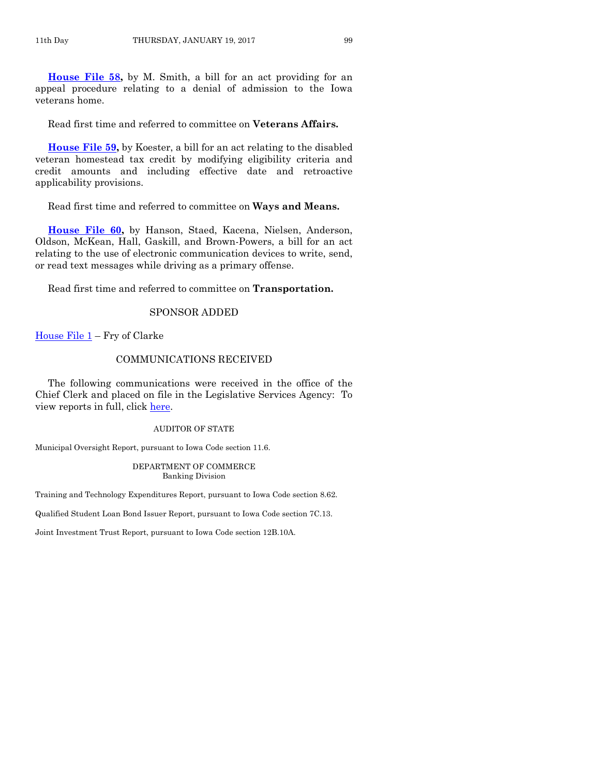**[House File 58,](https://www.legis.iowa.gov/legislation/BillBook?ga=87&ba=HF58)** by M. Smith, a bill for an act providing for an appeal procedure relating to a denial of admission to the Iowa veterans home.

Read first time and referred to committee on **Veterans Affairs.**

**[House File 59,](https://www.legis.iowa.gov/legislation/BillBook?ga=87&ba=HF59)** by Koester, a bill for an act relating to the disabled veteran homestead tax credit by modifying eligibility criteria and credit amounts and including effective date and retroactive applicability provisions.

Read first time and referred to committee on **Ways and Means.**

**[House File 60,](https://www.legis.iowa.gov/legislation/BillBook?ga=87&ba=HF60)** by Hanson, Staed, Kacena, Nielsen, Anderson, Oldson, McKean, Hall, Gaskill, and Brown-Powers, a bill for an act relating to the use of electronic communication devices to write, send, or read text messages while driving as a primary offense.

Read first time and referred to committee on **Transportation.**

# SPONSOR ADDED

House File  $1$  – Fry of Clarke

#### COMMUNICATIONS RECEIVED

The following communications were received in the office of the Chief Clerk and placed on file in the Legislative Services Agency: To view reports in full, click [here.](https://www.legis.iowa.gov/publications/otherResources/reportsFiled)

#### AUDITOR OF STATE

Municipal Oversight Report, pursuant to Iowa Code section 11.6.

#### DEPARTMENT OF COMMERCE Banking Division

Training and Technology Expenditures Report, pursuant to Iowa Code section 8.62.

Qualified Student Loan Bond Issuer Report, pursuant to Iowa Code section 7C.13.

Joint Investment Trust Report, pursuant to Iowa Code section 12B.10A.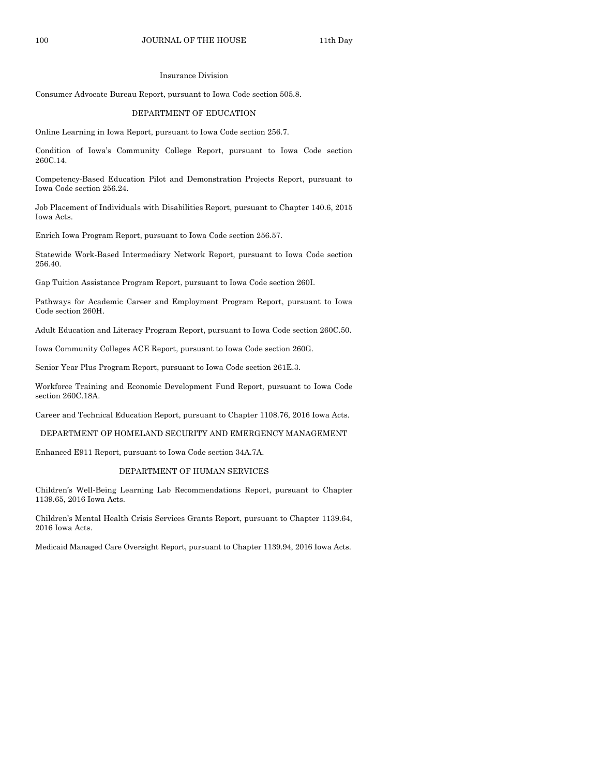#### Insurance Division

Consumer Advocate Bureau Report, pursuant to Iowa Code section 505.8.

#### DEPARTMENT OF EDUCATION

Online Learning in Iowa Report, pursuant to Iowa Code section 256.7.

Condition of Iowa's Community College Report, pursuant to Iowa Code section 260C.14.

Competency-Based Education Pilot and Demonstration Projects Report, pursuant to Iowa Code section 256.24.

Job Placement of Individuals with Disabilities Report, pursuant to Chapter 140.6, 2015 Iowa Acts.

Enrich Iowa Program Report, pursuant to Iowa Code section 256.57.

Statewide Work-Based Intermediary Network Report, pursuant to Iowa Code section 256.40.

Gap Tuition Assistance Program Report, pursuant to Iowa Code section 260I.

Pathways for Academic Career and Employment Program Report, pursuant to Iowa Code section 260H.

Adult Education and Literacy Program Report, pursuant to Iowa Code section 260C.50.

Iowa Community Colleges ACE Report, pursuant to Iowa Code section 260G.

Senior Year Plus Program Report, pursuant to Iowa Code section 261E.3.

Workforce Training and Economic Development Fund Report, pursuant to Iowa Code section 260C.18A.

Career and Technical Education Report, pursuant to Chapter 1108.76, 2016 Iowa Acts.

#### DEPARTMENT OF HOMELAND SECURITY AND EMERGENCY MANAGEMENT

Enhanced E911 Report, pursuant to Iowa Code section 34A.7A.

#### DEPARTMENT OF HUMAN SERVICES

Children's Well-Being Learning Lab Recommendations Report, pursuant to Chapter 1139.65, 2016 Iowa Acts.

Children's Mental Health Crisis Services Grants Report, pursuant to Chapter 1139.64, 2016 Iowa Acts.

Medicaid Managed Care Oversight Report, pursuant to Chapter 1139.94, 2016 Iowa Acts.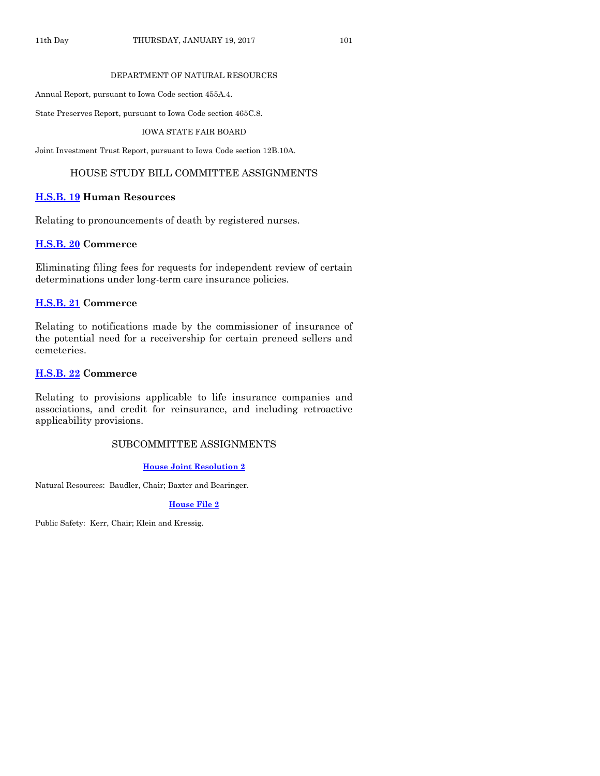#### DEPARTMENT OF NATURAL RESOURCES

Annual Report, pursuant to Iowa Code section 455A.4.

State Preserves Report, pursuant to Iowa Code section 465C.8.

IOWA STATE FAIR BOARD

Joint Investment Trust Report, pursuant to Iowa Code section 12B.10A.

# HOUSE STUDY BILL COMMITTEE ASSIGNMENTS

# **[H.S.B. 19](https://www.legis.iowa.gov/legislation/BillBook?ga=87&ba=HSB19) Human Resources**

Relating to pronouncements of death by registered nurses.

#### **[H.S.B. 20](https://www.legis.iowa.gov/legislation/BillBook?ga=87&ba=HSB20) Commerce**

Eliminating filing fees for requests for independent review of certain determinations under long-term care insurance policies.

## **[H.S.B. 21](https://www.legis.iowa.gov/legislation/BillBook?ga=87&ba=HSB21) Commerce**

Relating to notifications made by the commissioner of insurance of the potential need for a receivership for certain preneed sellers and cemeteries.

### **[H.S.B. 22](https://www.legis.iowa.gov/legislation/BillBook?ga=87&ba=HSB22) Commerce**

Relating to provisions applicable to life insurance companies and associations, and credit for reinsurance, and including retroactive applicability provisions.

# SUBCOMMITTEE ASSIGNMENTS

#### **[House Joint Resolution 2](https://www.legis.iowa.gov/legislation/BillBook?ga=87&ba=HJR2)**

Natural Resources: Baudler, Chair; Baxter and Bearinger.

#### **[House File 2](https://www.legis.iowa.gov/legislation/BillBook?ga=87&ba=HF2)**

Public Safety: Kerr, Chair; Klein and Kressig.